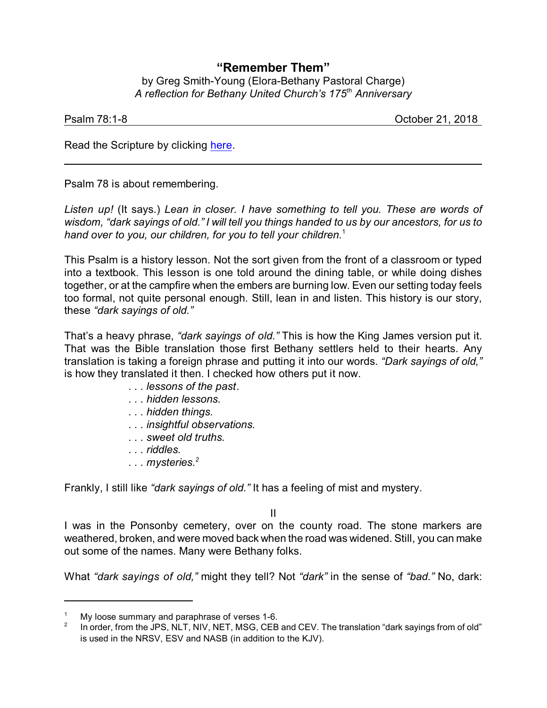## **"Remember Them"**

by Greg Smith-Young (Elora-Bethany Pastoral Charge) *A reflection for Bethany United Church's 175th Anniversary*

| Psalm 78:1-8 |  |  |
|--------------|--|--|

October 21, 2018

Read the Scripture by clicking [here](https://www.biblegateway.com/passage/?search=Psalm+78%3A1-8&version=NRSVA).

Psalm 78 is about remembering.

*Listen up!* (It says.) *Lean in closer. I have something to tell you. These are words of wisdom, "dark sayings of old." I will tell you things handed to us by our ancestors, for us to hand over to you, our children, for you to tell your children.*<sup>1</sup>

This Psalm is a history lesson. Not the sort given from the front of a classroom or typed into a textbook. This lesson is one told around the dining table, or while doing dishes together, or at the campfire when the embers are burning low. Even our setting today feels too formal, not quite personal enough. Still, lean in and listen. This history is our story, these *"dark sayings of old."*

That's a heavy phrase, *"dark sayings of old."* This is how the King James version put it. That was the Bible translation those first Bethany settlers held to their hearts. Any translation is taking a foreign phrase and putting it into our words. *"Dark sayings of old,"* is how they translated it then. I checked how others put it now.

- *. . . lessons of the past*.
- *. . . hidden lessons.*
- *. . . hidden things.*
- *. . . insightful observations.*
- *. . . sweet old truths.*
- *. . . riddles.*
- *. . . mysteries.<sup>2</sup>*

Frankly, I still like *"dark sayings of old."* It has a feeling of mist and mystery.

II

I was in the Ponsonby cemetery, over on the county road. The stone markers are weathered, broken, and were moved back when the road was widened. Still, you can make out some of the names. Many were Bethany folks.

What *"dark sayings of old,"* might they tell? Not *"dark"* in the sense of *"bad."* No, dark:

My loose summary and paraphrase of verses 1-6.

<sup>2</sup> In order, from the JPS, NLT, NIV, NET, MSG, CEB and CEV. The translation "dark sayings from of old" is used in the NRSV, ESV and NASB (in addition to the KJV).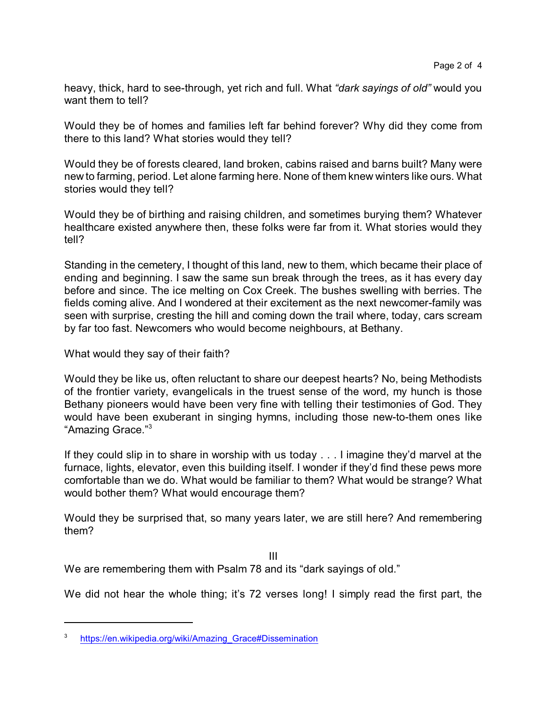heavy, thick, hard to see-through, yet rich and full. What *"dark sayings of old"* would you want them to tell?

Would they be of homes and families left far behind forever? Why did they come from there to this land? What stories would they tell?

Would they be of forests cleared, land broken, cabins raised and barns built? Many were new to farming, period. Let alone farming here. None of them knew winters like ours. What stories would they tell?

Would they be of birthing and raising children, and sometimes burying them? Whatever healthcare existed anywhere then, these folks were far from it. What stories would they tell?

Standing in the cemetery, I thought of this land, new to them, which became their place of ending and beginning. I saw the same sun break through the trees, as it has every day before and since. The ice melting on Cox Creek. The bushes swelling with berries. The fields coming alive. And I wondered at their excitement as the next newcomer-family was seen with surprise, cresting the hill and coming down the trail where, today, cars scream by far too fast. Newcomers who would become neighbours, at Bethany.

What would they say of their faith?

Would they be like us, often reluctant to share our deepest hearts? No, being Methodists of the frontier variety, evangelicals in the truest sense of the word, my hunch is those Bethany pioneers would have been very fine with telling their testimonies of God. They would have been exuberant in singing hymns, including those new-to-them ones like "Amazing Grace."<sup>3</sup>

If they could slip in to share in worship with us today . . . I imagine they'd marvel at the furnace, lights, elevator, even this building itself. I wonder if they'd find these pews more comfortable than we do. What would be familiar to them? What would be strange? What would bother them? What would encourage them?

Would they be surprised that, so many years later, we are still here? And remembering them?

III

We are remembering them with Psalm 78 and its "dark sayings of old."

We did not hear the whole thing; it's 72 verses long! I simply read the first part, the

<sup>&</sup>lt;sup>3</sup> https://en.wikipedia.org/wiki/Amazing Grace#Dissemination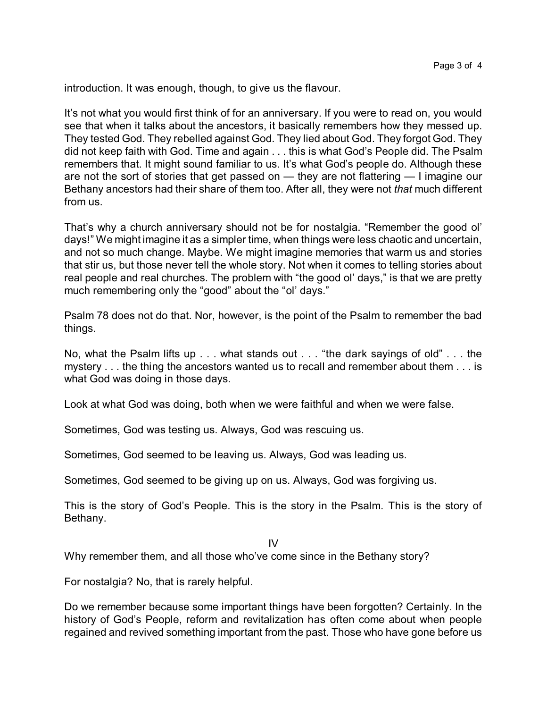introduction. It was enough, though, to give us the flavour.

It's not what you would first think of for an anniversary. If you were to read on, you would see that when it talks about the ancestors, it basically remembers how they messed up. They tested God. They rebelled against God. They lied about God. They forgot God. They did not keep faith with God. Time and again . . . this is what God's People did. The Psalm remembers that. It might sound familiar to us. It's what God's people do. Although these are not the sort of stories that get passed on — they are not flattering — I imagine our Bethany ancestors had their share of them too. After all, they were not *that* much different from us.

That's why a church anniversary should not be for nostalgia. "Remember the good ol' days!" We might imagine it as a simpler time, when things were less chaotic and uncertain, and not so much change. Maybe. We might imagine memories that warm us and stories that stir us, but those never tell the whole story. Not when it comes to telling stories about real people and real churches. The problem with "the good ol' days," is that we are pretty much remembering only the "good" about the "ol' days."

Psalm 78 does not do that. Nor, however, is the point of the Psalm to remember the bad things.

No, what the Psalm lifts up . . . what stands out . . . "the dark sayings of old" . . . the mystery . . . the thing the ancestors wanted us to recall and remember about them . . . is what God was doing in those days.

Look at what God was doing, both when we were faithful and when we were false.

Sometimes, God was testing us. Always, God was rescuing us.

Sometimes, God seemed to be leaving us. Always, God was leading us.

Sometimes, God seemed to be giving up on us. Always, God was forgiving us.

This is the story of God's People. This is the story in the Psalm. This is the story of Bethany.

 $IV$ 

Why remember them, and all those who've come since in the Bethany story?

For nostalgia? No, that is rarely helpful.

Do we remember because some important things have been forgotten? Certainly. In the history of God's People, reform and revitalization has often come about when people regained and revived something important from the past. Those who have gone before us